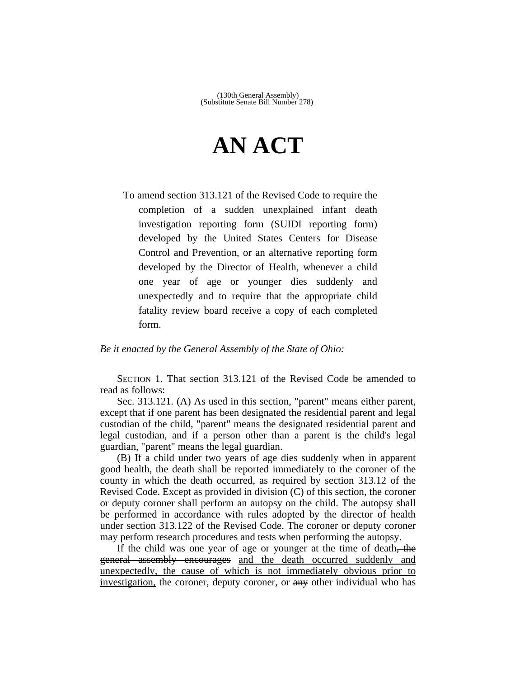## **AN ACT**

To amend section 313.121 of the Revised Code to require the completion of a sudden unexplained infant death investigation reporting form (SUIDI reporting form) developed by the United States Centers for Disease Control and Prevention, or an alternative reporting form developed by the Director of Health, whenever a child one year of age or younger dies suddenly and unexpectedly and to require that the appropriate child fatality review board receive a copy of each completed form.

## *Be it enacted by the General Assembly of the State of Ohio:*

SECTION 1. That section 313.121 of the Revised Code be amended to read as follows:

Sec. 313.121. (A) As used in this section, "parent" means either parent, except that if one parent has been designated the residential parent and legal custodian of the child, "parent" means the designated residential parent and legal custodian, and if a person other than a parent is the child's legal guardian, "parent" means the legal guardian.

(B) If a child under two years of age dies suddenly when in apparent good health, the death shall be reported immediately to the coroner of the county in which the death occurred, as required by section 313.12 of the Revised Code. Except as provided in division (C) of this section, the coroner or deputy coroner shall perform an autopsy on the child. The autopsy shall be performed in accordance with rules adopted by the director of health under section 313.122 of the Revised Code. The coroner or deputy coroner may perform research procedures and tests when performing the autopsy.

If the child was one year of age or younger at the time of death, the general assembly encourages and the death occurred suddenly and unexpectedly, the cause of which is not immediately obvious prior to investigation, the coroner, deputy coroner, or any other individual who has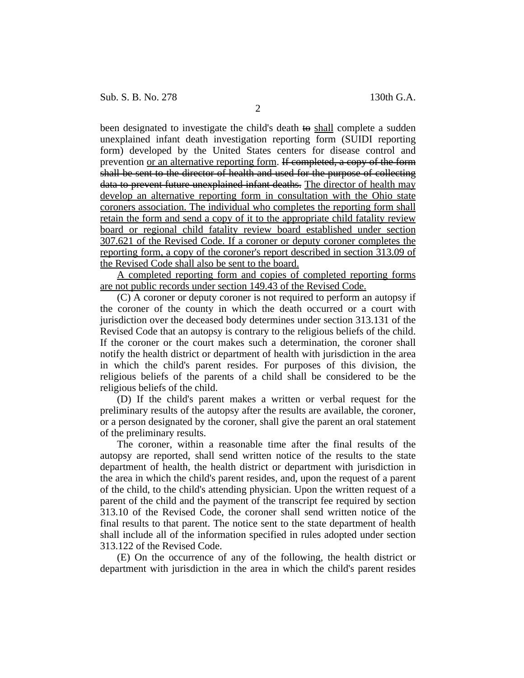been designated to investigate the child's death to shall complete a sudden unexplained infant death investigation reporting form (SUIDI reporting form) developed by the United States centers for disease control and prevention or an alternative reporting form. If completed, a copy of the form shall be sent to the director of health and used for the purpose of collecting data to prevent future unexplained infant deaths. The director of health may develop an alternative reporting form in consultation with the Ohio state coroners association. The individual who completes the reporting form shall retain the form and send a copy of it to the appropriate child fatality review board or regional child fatality review board established under section 307.621 of the Revised Code. If a coroner or deputy coroner completes the reporting form, a copy of the coroner's report described in section 313.09 of the Revised Code shall also be sent to the board.

A completed reporting form and copies of completed reporting forms are not public records under section 149.43 of the Revised Code.

(C) A coroner or deputy coroner is not required to perform an autopsy if the coroner of the county in which the death occurred or a court with jurisdiction over the deceased body determines under section 313.131 of the Revised Code that an autopsy is contrary to the religious beliefs of the child. If the coroner or the court makes such a determination, the coroner shall notify the health district or department of health with jurisdiction in the area in which the child's parent resides. For purposes of this division, the religious beliefs of the parents of a child shall be considered to be the religious beliefs of the child.

(D) If the child's parent makes a written or verbal request for the preliminary results of the autopsy after the results are available, the coroner, or a person designated by the coroner, shall give the parent an oral statement of the preliminary results.

The coroner, within a reasonable time after the final results of the autopsy are reported, shall send written notice of the results to the state department of health, the health district or department with jurisdiction in the area in which the child's parent resides, and, upon the request of a parent of the child, to the child's attending physician. Upon the written request of a parent of the child and the payment of the transcript fee required by section 313.10 of the Revised Code, the coroner shall send written notice of the final results to that parent. The notice sent to the state department of health shall include all of the information specified in rules adopted under section 313.122 of the Revised Code.

(E) On the occurrence of any of the following, the health district or department with jurisdiction in the area in which the child's parent resides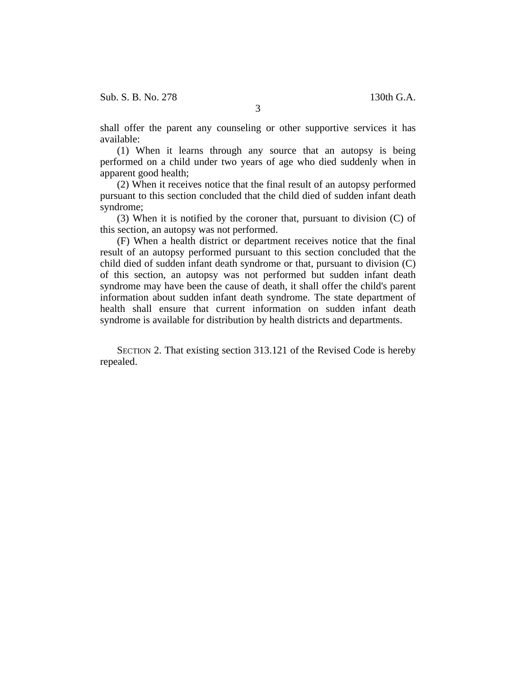Sub. S. B. No. 278 130th G.A.

shall offer the parent any counseling or other supportive services it has available:

(1) When it learns through any source that an autopsy is being performed on a child under two years of age who died suddenly when in apparent good health;

(2) When it receives notice that the final result of an autopsy performed pursuant to this section concluded that the child died of sudden infant death syndrome;

(3) When it is notified by the coroner that, pursuant to division (C) of this section, an autopsy was not performed.

(F) When a health district or department receives notice that the final result of an autopsy performed pursuant to this section concluded that the child died of sudden infant death syndrome or that, pursuant to division (C) of this section, an autopsy was not performed but sudden infant death syndrome may have been the cause of death, it shall offer the child's parent information about sudden infant death syndrome. The state department of health shall ensure that current information on sudden infant death syndrome is available for distribution by health districts and departments.

SECTION 2. That existing section 313.121 of the Revised Code is hereby repealed.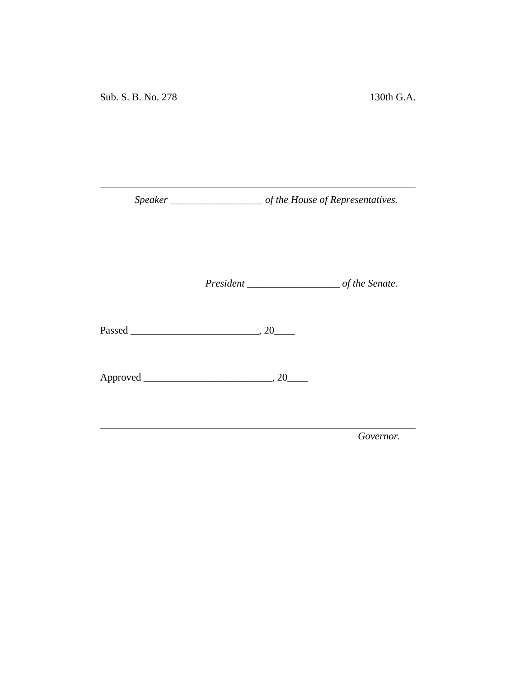*Speaker \_\_\_\_\_\_\_\_\_\_\_\_\_\_\_\_\_\_ of the House of Representatives.*

<u> 1980 - Johann Barbara, martxa a</u>

*President \_\_\_\_\_\_\_\_\_\_\_\_\_\_\_\_\_\_ of the Senate.*

<u> 1989 - Johann Barnett, fransk politiker (</u>

Passed \_\_\_\_\_\_\_\_\_\_\_\_\_\_\_\_\_\_\_\_\_\_\_\_\_, 20\_\_\_\_

Approved \_\_\_\_\_\_\_\_\_\_\_\_\_\_\_\_\_\_\_\_\_\_\_\_\_, 20\_\_\_\_

*Governor.*